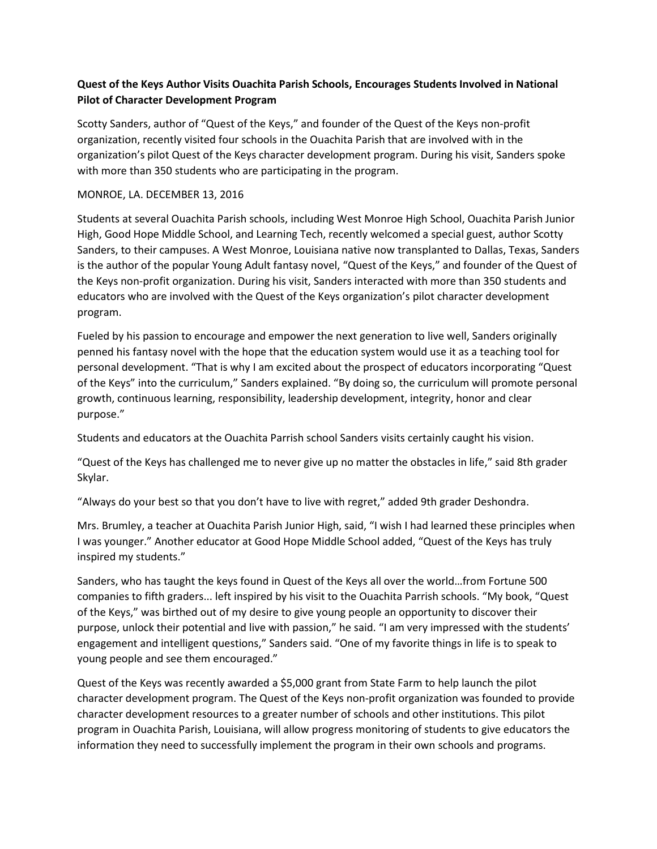## **Quest of the Keys Author Visits Ouachita Parish Schools, Encourages Students Involved in National Pilot of Character Development Program**

Scotty Sanders, author of "Quest of the Keys," and founder of the Quest of the Keys non-profit organization, recently visited four schools in the Ouachita Parish that are involved with in the organization's pilot Quest of the Keys character development program. During his visit, Sanders spoke with more than 350 students who are participating in the program.

## MONROE, LA. DECEMBER 13, 2016

Students at several Ouachita Parish schools, including West Monroe High School, Ouachita Parish Junior High, Good Hope Middle School, and Learning Tech, recently welcomed a special guest, author Scotty Sanders, to their campuses. A West Monroe, Louisiana native now transplanted to Dallas, Texas, Sanders is the author of the popular Young Adult fantasy novel, "Quest of the Keys," and founder of the Quest of the Keys non-profit organization. During his visit, Sanders interacted with more than 350 students and educators who are involved with the Quest of the Keys organization's pilot character development program.

Fueled by his passion to encourage and empower the next generation to live well, Sanders originally penned his fantasy novel with the hope that the education system would use it as a teaching tool for personal development. "That is why I am excited about the prospect of educators incorporating "Quest of the Keys" into the curriculum," Sanders explained. "By doing so, the curriculum will promote personal growth, continuous learning, responsibility, leadership development, integrity, honor and clear purpose."

Students and educators at the Ouachita Parrish school Sanders visits certainly caught his vision.

"Quest of the Keys has challenged me to never give up no matter the obstacles in life," said 8th grader Skylar.

"Always do your best so that you don't have to live with regret," added 9th grader Deshondra.

Mrs. Brumley, a teacher at Ouachita Parish Junior High, said, "I wish I had learned these principles when I was younger." Another educator at Good Hope Middle School added, "Quest of the Keys has truly inspired my students."

Sanders, who has taught the keys found in Quest of the Keys all over the world…from Fortune 500 companies to fifth graders... left inspired by his visit to the Ouachita Parrish schools. "My book, "Quest of the Keys," was birthed out of my desire to give young people an opportunity to discover their purpose, unlock their potential and live with passion," he said. "I am very impressed with the students' engagement and intelligent questions," Sanders said. "One of my favorite things in life is to speak to young people and see them encouraged."

Quest of the Keys was recently awarded a \$5,000 grant from State Farm to help launch the pilot character development program. The Quest of the Keys non-profit organization was founded to provide character development resources to a greater number of schools and other institutions. This pilot program in Ouachita Parish, Louisiana, will allow progress monitoring of students to give educators the information they need to successfully implement the program in their own schools and programs.